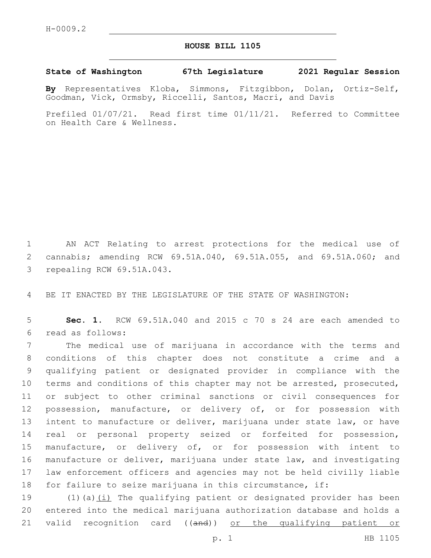## **HOUSE BILL 1105**

## **State of Washington 67th Legislature 2021 Regular Session**

**By** Representatives Kloba, Simmons, Fitzgibbon, Dolan, Ortiz-Self, Goodman, Vick, Ormsby, Riccelli, Santos, Macri, and Davis

Prefiled 01/07/21. Read first time 01/11/21. Referred to Committee on Health Care & Wellness.

1 AN ACT Relating to arrest protections for the medical use of 2 cannabis; amending RCW 69.51A.040, 69.51A.055, and 69.51A.060; and 3 repealing RCW 69.51A.043.

4 BE IT ENACTED BY THE LEGISLATURE OF THE STATE OF WASHINGTON:

5 **Sec. 1.** RCW 69.51A.040 and 2015 c 70 s 24 are each amended to read as follows:6

 The medical use of marijuana in accordance with the terms and conditions of this chapter does not constitute a crime and a qualifying patient or designated provider in compliance with the terms and conditions of this chapter may not be arrested, prosecuted, or subject to other criminal sanctions or civil consequences for possession, manufacture, or delivery of, or for possession with intent to manufacture or deliver, marijuana under state law, or have real or personal property seized or forfeited for possession, manufacture, or delivery of, or for possession with intent to manufacture or deliver, marijuana under state law, and investigating law enforcement officers and agencies may not be held civilly liable for failure to seize marijuana in this circumstance, if:

19 (1)(a)(i) The qualifying patient or designated provider has been 20 entered into the medical marijuana authorization database and holds a 21 valid recognition card ((and)) or the qualifying patient or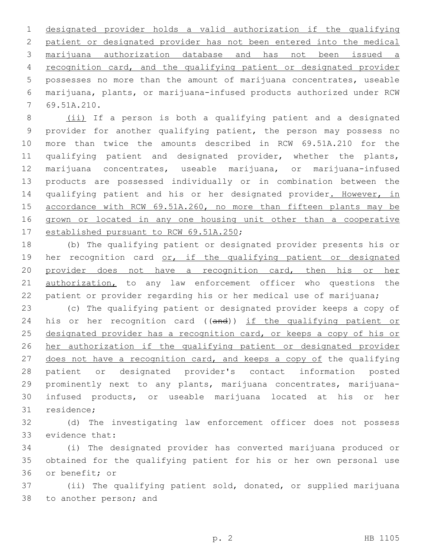designated provider holds a valid authorization if the qualifying patient or designated provider has not been entered into the medical marijuana authorization database and has not been issued a recognition card, and the qualifying patient or designated provider possesses no more than the amount of marijuana concentrates, useable marijuana, plants, or marijuana-infused products authorized under RCW 69.51A.210.7

 (ii) If a person is both a qualifying patient and a designated provider for another qualifying patient, the person may possess no more than twice the amounts described in RCW 69.51A.210 for the qualifying patient and designated provider, whether the plants, marijuana concentrates, useable marijuana, or marijuana-infused products are possessed individually or in combination between the 14 qualifying patient and his or her designated provider. However, in 15 accordance with RCW 69.51A.260, no more than fifteen plants may be grown or located in any one housing unit other than a cooperative 17 established pursuant to RCW 69.51A.250;

18 (b) The qualifying patient or designated provider presents his or 19 her recognition card or, if the qualifying patient or designated 20 provider does not have a recognition card, then his or her 21 authorization, to any law enforcement officer who questions the 22 patient or provider regarding his or her medical use of marijuana;

23 (c) The qualifying patient or designated provider keeps a copy of 24 his or her recognition card ((and)) if the qualifying patient or 25 designated provider has a recognition card, or keeps a copy of his or 26 her authorization if the qualifying patient or designated provider 27 does not have a recognition card, and keeps a copy of the qualifying 28 patient or designated provider's contact information posted 29 prominently next to any plants, marijuana concentrates, marijuana-30 infused products, or useable marijuana located at his or her 31 residence;

32 (d) The investigating law enforcement officer does not possess 33 evidence that:

34 (i) The designated provider has converted marijuana produced or 35 obtained for the qualifying patient for his or her own personal use 36 or benefit; or

37 (ii) The qualifying patient sold, donated, or supplied marijuana 38 to another person; and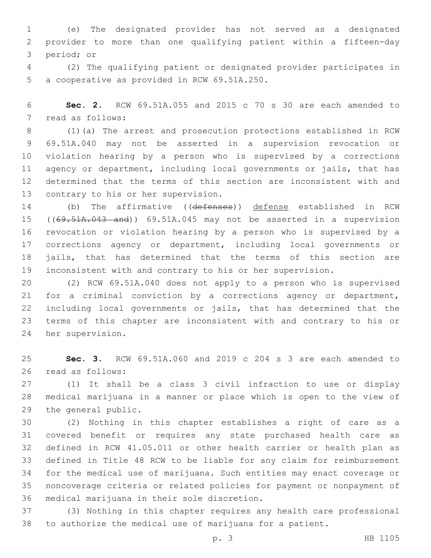(e) The designated provider has not served as a designated provider to more than one qualifying patient within a fifteen-day 3 period; or

 (2) The qualifying patient or designated provider participates in 5 a cooperative as provided in RCW 69.51A.250.

 **Sec. 2.** RCW 69.51A.055 and 2015 c 70 s 30 are each amended to 7 read as follows:

 (1)(a) The arrest and prosecution protections established in RCW 69.51A.040 may not be asserted in a supervision revocation or violation hearing by a person who is supervised by a corrections agency or department, including local governments or jails, that has determined that the terms of this section are inconsistent with and 13 contrary to his or her supervision.

 (b) The affirmative ((defenses)) defense established in RCW 15 ((69.51A.043 and)) 69.51A.045 may not be asserted in a supervision revocation or violation hearing by a person who is supervised by a corrections agency or department, including local governments or jails, that has determined that the terms of this section are inconsistent with and contrary to his or her supervision.

 (2) RCW 69.51A.040 does not apply to a person who is supervised for a criminal conviction by a corrections agency or department, including local governments or jails, that has determined that the terms of this chapter are inconsistent with and contrary to his or 24 her supervision.

 **Sec. 3.** RCW 69.51A.060 and 2019 c 204 s 3 are each amended to 26 read as follows:

 (1) It shall be a class 3 civil infraction to use or display medical marijuana in a manner or place which is open to the view of 29 the general public.

 (2) Nothing in this chapter establishes a right of care as a covered benefit or requires any state purchased health care as defined in RCW 41.05.011 or other health carrier or health plan as defined in Title 48 RCW to be liable for any claim for reimbursement for the medical use of marijuana. Such entities may enact coverage or noncoverage criteria or related policies for payment or nonpayment of 36 medical marijuana in their sole discretion.

 (3) Nothing in this chapter requires any health care professional to authorize the medical use of marijuana for a patient.